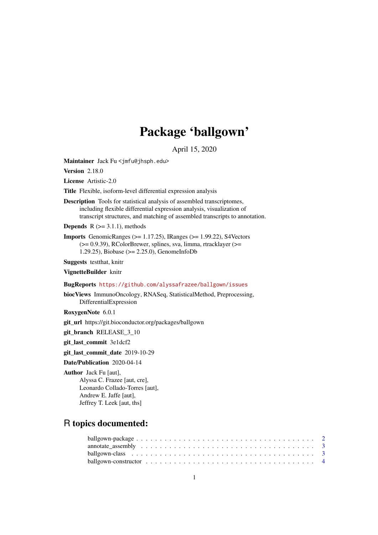## Package 'ballgown'

April 15, 2020

<span id="page-0-0"></span>Maintainer Jack Fu <jmfu@jhsph.edu>

Version 2.18.0

License Artistic-2.0

Title Flexible, isoform-level differential expression analysis

Description Tools for statistical analysis of assembled transcriptomes, including flexible differential expression analysis, visualization of transcript structures, and matching of assembled transcripts to annotation.

**Depends**  $R$  ( $>= 3.1.1$ ), methods

Imports GenomicRanges (>= 1.17.25), IRanges (>= 1.99.22), S4Vectors (>= 0.9.39), RColorBrewer, splines, sva, limma, rtracklayer (>= 1.29.25), Biobase (>= 2.25.0), GenomeInfoDb

Suggests testthat, knitr

VignetteBuilder knitr

BugReports <https://github.com/alyssafrazee/ballgown/issues>

biocViews ImmunoOncology, RNASeq, StatisticalMethod, Preprocessing, DifferentialExpression

RoxygenNote 6.0.1

git\_url https://git.bioconductor.org/packages/ballgown

git\_branch RELEASE\_3\_10

git\_last\_commit 3e1dcf2

git last commit date 2019-10-29

Date/Publication 2020-04-14

Author Jack Fu [aut], Alyssa C. Frazee [aut, cre], Leonardo Collado-Torres [aut], Andrew E. Jaffe [aut], Jeffrey T. Leek [aut, ths]

### R topics documented: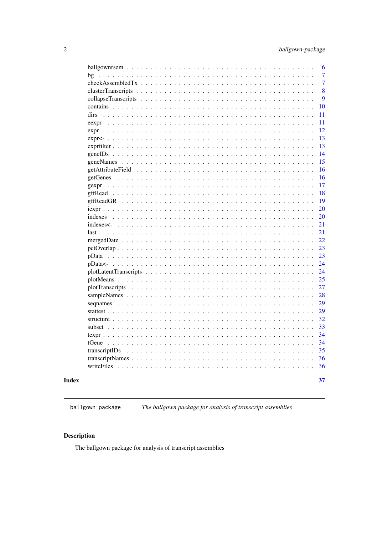<span id="page-1-0"></span>

|                                                                                                                                                                                                                                                                                                                                                                                                                                                                                | 6              |
|--------------------------------------------------------------------------------------------------------------------------------------------------------------------------------------------------------------------------------------------------------------------------------------------------------------------------------------------------------------------------------------------------------------------------------------------------------------------------------|----------------|
| bg<br>$\ddot{\phantom{a}}$<br>$\ddot{\phantom{a}}$<br>$\ddot{\phantom{a}}$<br>$\ddot{\phantom{a}}$<br>$\ddot{\phantom{a}}$<br>$\ddot{\phantom{a}}$                                                                                                                                                                                                                                                                                                                             | 7              |
| $\frac{1}{2}$                                                                                                                                                                                                                                                                                                                                                                                                                                                                  | $\overline{7}$ |
| $\cdots$<br>$\sim$                                                                                                                                                                                                                                                                                                                                                                                                                                                             | 8              |
| collapseTranscripts<br>$\ddot{\phantom{a}}$<br>$\ddot{\phantom{a}}$<br>$\ddot{\phantom{a}}$<br>$\ddot{\phantom{a}}$<br>$\sim$ $\sim$<br>$\sim$ $\sim$<br>$\ddot{\phantom{a}}$<br>$\ddot{\phantom{a}}$                                                                                                                                                                                                                                                                          | 9              |
| contains<br>$\mathbf{r}$<br>.<br>$\ddot{\phantom{a}}$<br>$\ddot{\phantom{a}}$<br>$\ddot{\phantom{a}}$<br>$\ddot{\phantom{a}}$<br>$\overline{\phantom{a}}$                                                                                                                                                                                                                                                                                                                      | 10             |
| dirs<br>$\sim$<br>$\sim$ $\sim$ $\sim$ $\sim$<br>$\mathcal{A}$ , and $\mathcal{A}$ , and $\mathcal{A}$ , and $\mathcal{A}$<br>$\ddot{\phantom{1}}$<br>$\sim$<br>$\ddot{\phantom{a}}$                                                                                                                                                                                                                                                                                           | 11             |
| eexpr<br>$\sim$ $\sim$ $\sim$ $\sim$<br>$\ddot{\phantom{0}}$<br>$\ddot{\phantom{a}}$ .<br>$\ddot{\phantom{a}}$<br>$\ddot{\phantom{a}}$<br>$\ddot{\phantom{a}}$<br>$\ddot{\phantom{a}}$<br>$\ddot{\phantom{a}}$<br>$\ddot{\phantom{a}}$<br>$\ddot{\phantom{a}}$                                                                                                                                                                                                                 | 11             |
| expr<br>.<br>$\sim$ $\sim$ $\sim$<br>$\ddot{\phantom{0}}$                                                                                                                                                                                                                                                                                                                                                                                                                      | 12             |
| $expr<$ -<br>$\ddot{\phantom{0}}$<br>$\ddot{\phantom{a}}$<br>$\ddot{\phantom{1}}$<br>$\ddot{\phantom{a}}$                                                                                                                                                                                                                                                                                                                                                                      | 13             |
| $exprfilter \dots$ .<br>.<br>$\ddot{\phantom{a}}$<br>$\ddot{\phantom{a}}$<br>$\ddot{\phantom{a}}$<br>$\ddot{\phantom{a}}$<br>$\ddot{\phantom{a}}$<br>$\ddot{\phantom{a}}$<br>$\ddot{\phantom{a}}$<br>$\ddot{\phantom{a}}$<br>$\ddot{\phantom{a}}$<br>$\ddot{\phantom{a}}$<br>$\ddot{\phantom{a}}$<br>$\overline{a}$                                                                                                                                                            | 13             |
| geneIDs                                                                                                                                                                                                                                                                                                                                                                                                                                                                        | 14             |
| $\cdot \cdot \cdot$ .                                                                                                                                                                                                                                                                                                                                                                                                                                                          | 15             |
| getAttributeField<br>$\ddot{\phantom{a}}$<br>$\ddots$<br>$\ddot{\phantom{a}}$<br>$\ddot{\phantom{a}}$<br>$\ddot{\phantom{a}}$<br>$\ddots$                                                                                                                                                                                                                                                                                                                                      | 16             |
| getGenes<br>$\overline{\phantom{a}}$<br>$\ddot{\phantom{a}}$<br>$\mathbf{r}$<br>$\sim$ $\sim$                                                                                                                                                                                                                                                                                                                                                                                  | 16             |
| gexpr<br>$\ldots$<br>$\cdot$<br>$\ddot{\phantom{a}}$<br>$\cdot \cdot \cdot \cdot$                                                                                                                                                                                                                                                                                                                                                                                              | 17             |
| gffRead<br>$\mathbf{1}$<br>$\mathcal{A}$ , and $\mathcal{A}$ , and $\mathcal{A}$ , and $\mathcal{A}$<br>$\ddot{\phantom{a}}$<br>$\ddot{\phantom{a}}$<br>$\ddot{\phantom{a}}$<br>$\ddot{\phantom{a}}$<br>$\ddot{\phantom{a}}$<br>$\ddot{\phantom{a}}$<br>$\ddot{\phantom{a}}$<br>$\ddot{\phantom{a}}$                                                                                                                                                                           | 18             |
| gffReadGR<br>$\ddot{\phantom{a}}$<br>$\ddot{\phantom{a}}$<br>$\ddot{\phantom{a}}$<br>$\sim$ $\sim$<br>$\sim$                                                                                                                                                                                                                                                                                                                                                                   | 19             |
| $i$ expr $\ldots$ .<br>$\ddot{\phantom{a}}$ .<br>$\ddot{\phantom{a}}$<br>$\ddot{\phantom{a}}$<br>$\ddot{\phantom{a}}$<br>$\ddot{\phantom{a}}$                                                                                                                                                                                                                                                                                                                                  | 20             |
| indexes<br>$\ddot{\phantom{a}}$<br>$\ddot{\phantom{a}}$<br>$\ddot{\phantom{a}}$<br>$\mathcal{A}$ , and a set of the set of the set of the $\mathcal{A}$<br>$\sim$ $\sim$<br>$\ddot{\phantom{a}}$<br>$\ddot{\phantom{a}}$<br>$\ddot{\phantom{a}}$<br>$\ddot{\phantom{a}}$<br>$\ddot{\phantom{a}}$<br>$\ddot{\phantom{a}}$<br>$\ddot{\phantom{a}}$                                                                                                                               | 20             |
| indexes<-<br>$\ddot{\phantom{a}}$<br>$\ddot{\phantom{a}}$<br>$\ddot{\phantom{a}}$<br>$\ddot{\phantom{1}}$<br>$\ddot{\phantom{a}}$<br>$\ddot{\phantom{a}}$<br>$\ddot{\phantom{a}}$<br>$\ddot{\phantom{a}}$                                                                                                                                                                                                                                                                      | 21             |
| $last \t . \t . \t . \t .$                                                                                                                                                                                                                                                                                                                                                                                                                                                     | 21             |
| mergedDate<br>$\sim$ $\sim$<br>$\sim$ $\sim$<br>$\ddot{\phantom{a}}$<br>$\ddot{\phantom{a}}$<br>$\ddot{\phantom{a}}$<br>$\ddot{\phantom{a}}$<br>$\ddot{\phantom{a}}$<br>$\ddot{\phantom{a}}$<br>$\cdot$<br>$\ddot{\phantom{a}}$<br>$\overline{a}$<br>$\ddot{\phantom{a}}$                                                                                                                                                                                                      | 22             |
| $petOverlap \ldots \ldots \ldots \ldots \ldots \ldots \ldots \ldots \ldots \ldots \ldots \ldots$<br>$\ddot{\phantom{1}}$                                                                                                                                                                                                                                                                                                                                                       | 23             |
|                                                                                                                                                                                                                                                                                                                                                                                                                                                                                | 23             |
| and a strain of the state                                                                                                                                                                                                                                                                                                                                                                                                                                                      | 24             |
| plotLatentTranscripts<br>$\ddot{\phantom{a}}$<br>$\ddot{\phantom{a}}$                                                                                                                                                                                                                                                                                                                                                                                                          | 24             |
| $plotMeans \ldots \ldots$<br>$\ddot{\phantom{a}}$<br>.                                                                                                                                                                                                                                                                                                                                                                                                                         | 25             |
| plotTranscripts<br>.<br>$\cdots$<br>$\ddot{\phantom{a}}$<br>$\ddot{\phantom{a}}$<br>$\ddot{\phantom{a}}$<br>$\overline{a}$<br>$\overline{a}$                                                                                                                                                                                                                                                                                                                                   | 27             |
|                                                                                                                                                                                                                                                                                                                                                                                                                                                                                | 28             |
| sequames<br>.<br>$\ddot{\phantom{a}}$<br>$\sim$ $\sim$ $\sim$<br>$\ddot{\phantom{a}}$<br>$\ddot{\phantom{a}}$<br>$\ddot{\phantom{a}}$                                                                                                                                                                                                                                                                                                                                          | 29             |
| stattest<br>$\ddot{\phantom{a}}$<br>$\ddot{\phantom{a}}$<br>$\Delta$<br>$\sim$ $\sim$<br>$\sim$ $\sim$<br>$\ddots$<br>$\ddotsc$<br>$\ddotsc$<br>$\ddot{\phantom{a}}$ .<br>$\ddot{\phantom{a}}$<br>$\ddot{\phantom{a}}$<br>$\ddot{\phantom{a}}$<br>$\ddot{\phantom{a}}$<br>$\ddot{\phantom{a}}$<br>$\ddot{\phantom{a}}$<br>$\ddot{\phantom{a}}$<br>$\ddot{\phantom{a}}$<br>$\ddot{\phantom{a}}$                                                                                 | 29             |
| structure                                                                                                                                                                                                                                                                                                                                                                                                                                                                      | 32             |
| subset $\ldots$<br>$\mathbf{1}$ $\mathbf{1}$ $\mathbf{1}$<br>$\ddot{\phantom{1}}$                                                                                                                                                                                                                                                                                                                                                                                              | 33             |
| texpr $\ldots$<br>$\sim$ $\sim$<br>$\ddot{\phantom{a}}$<br>$\ddot{\phantom{a}}$<br>$\ddot{\phantom{a}}$<br>$\ddot{\phantom{a}}$<br>$\ddot{\phantom{a}}$<br>$\ddot{\phantom{a}}$<br>$\cdot$<br>$\ddot{\phantom{a}}$<br>$\cdot$<br>$\ddot{\phantom{a}}$<br>$\ddot{\phantom{a}}$<br>$\ddot{\phantom{a}}$<br>$\ddot{\phantom{a}}$<br>$\ddot{\phantom{a}}$                                                                                                                          | 34             |
| tGene<br>$\sim$ $\sim$ $\sim$ $\sim$                                                                                                                                                                                                                                                                                                                                                                                                                                           | 34             |
| transcriptIDs                                                                                                                                                                                                                                                                                                                                                                                                                                                                  | 35             |
| transcriptNames<br>$\mathcal{L}^{(1)}\left(\mathcal{L}^{(1)}\left(\mathcal{L}^{(1)}\left(\mathcal{L}^{(1)}\left(\mathcal{L}^{(1)}\left(\mathcal{L}^{(1)}\left(\mathcal{L}^{(1)}\left(\mathcal{L}^{(1)}\left(\mathcal{L}^{(1)}\left(\mathcal{L}^{(1)}\left(\mathcal{L}^{(1)}\right)\mathcal{L}^{(1)}\right)\right)\right)\right)\right)\right)\right)\right)\leq\mathcal{L}^{(1)}\left(\mathcal{L}^{(1)}\left(\mathcal{L}^{(1)}\left(\mathcal{L}^{(1)}\left(\mathcal{L}^{(1)}\$ | 36             |
| writeFiles<br><b>Contract</b><br>.<br>$\sim$ $\sim$<br>$\ddot{\phantom{1}}$<br>$\ddot{\phantom{a}}$                                                                                                                                                                                                                                                                                                                                                                            | 36             |
|                                                                                                                                                                                                                                                                                                                                                                                                                                                                                |                |
|                                                                                                                                                                                                                                                                                                                                                                                                                                                                                | 37             |

#### **Index**

The ballgown package for analysis of transcript assemblies ballgown-package

#### Description

The ballgown package for analysis of transcript assemblies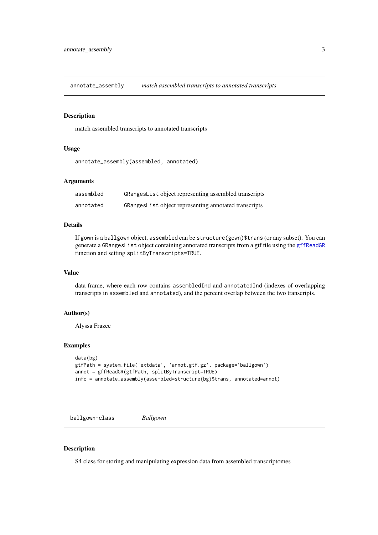<span id="page-2-0"></span>annotate\_assembly *match assembled transcripts to annotated transcripts*

#### Description

match assembled transcripts to annotated transcripts

#### Usage

```
annotate_assembly(assembled, annotated)
```
#### Arguments

| assembled | GRangesList object representing assembled transcripts |
|-----------|-------------------------------------------------------|
| annotated | GRangesList object representing annotated transcripts |

#### Details

If gown is a ballgown object, assembled can be structure(gown)\$trans (or any subset). You can generate a GRangesList object containing annotated transcripts from a gtf file using the [gffReadGR](#page-18-1) function and setting splitByTranscripts=TRUE.

#### Value

data frame, where each row contains assembledInd and annotatedInd (indexes of overlapping transcripts in assembled and annotated), and the percent overlap between the two transcripts.

#### Author(s)

Alyssa Frazee

#### Examples

```
data(bg)
gtfPath = system.file('extdata', 'annot.gtf.gz', package='ballgown')
annot = gffReadGR(gtfPath, splitByTranscript=TRUE)
info = annotate_assembly(assembled=structure(bg)$trans, annotated=annot)
```
ballgown-class *Ballgown*

#### Description

S4 class for storing and manipulating expression data from assembled transcriptomes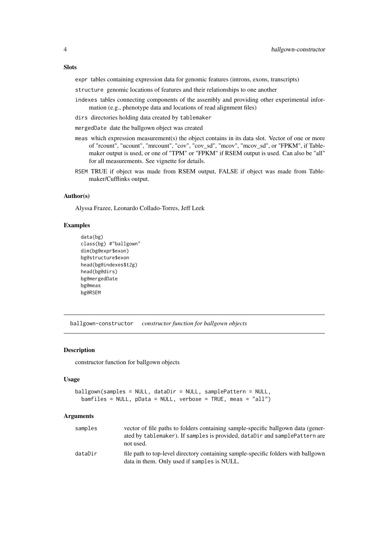#### <span id="page-3-0"></span>Slots

expr tables containing expression data for genomic features (introns, exons, transcripts)

structure genomic locations of features and their relationships to one another

- indexes tables connecting components of the assembly and providing other experimental information (e.g., phenotype data and locations of read alignment files)
- dirs directories holding data created by tablemaker
- mergedDate date the ballgown object was created
- meas which expression measurement(s) the object contains in its data slot. Vector of one or more of "rcount", "ucount", "mrcount", "cov", "cov\_sd", "mcov", "mcov\_sd", or "FPKM", if Tablemaker output is used, or one of "TPM" or "FPKM" if RSEM output is used. Can also be "all" for all measurements. See vignette for details.
- RSEM TRUE if object was made from RSEM output, FALSE if object was made from Tablemaker/Cufflinks output.

#### Author(s)

Alyssa Frazee, Leonardo Collado-Torres, Jeff Leek

#### Examples

```
data(bg)
class(bg) #"ballgown"
dim(bg@expr$exon)
bg@structure$exon
head(bg@indexes$t2g)
head(bg@dirs)
bg@mergedDate
bg@meas
bg@RSEM
```
ballgown-constructor *constructor function for ballgown objects*

#### <span id="page-3-1"></span>Description

constructor function for ballgown objects

#### Usage

```
ballgown(samples = NULL, dataDir = NULL, samplePattern = NULL,
 bamfiles = NULL, pData = NULL, verbose = TRUE, meas = "all")
```
#### Arguments

| samples | vector of file paths to folders containing sample-specific ballgown data (gener-<br>ated by tablemaker). If samples is provided, dataDir and samplePattern are<br>not used. |
|---------|-----------------------------------------------------------------------------------------------------------------------------------------------------------------------------|
| dataDir | file path to top-level directory containing sample-specific folders with ballgown<br>data in them. Only used if samples is NULL.                                            |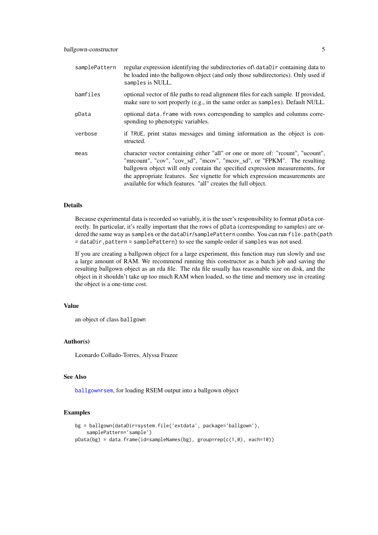<span id="page-4-0"></span>

| samplePattern | regular expression identifying the subdirectories of dataDir containing data to<br>be loaded into the ballgown object (and only those subdirectories). Only used if<br>samples is NULL.                                                                                                                                                                                                    |
|---------------|--------------------------------------------------------------------------------------------------------------------------------------------------------------------------------------------------------------------------------------------------------------------------------------------------------------------------------------------------------------------------------------------|
| bamfiles      | optional vector of file paths to read alignment files for each sample. If provided,<br>make sure to sort properly (e.g., in the same order as samples). Default NULL.                                                                                                                                                                                                                      |
| pData         | optional data. Frame with rows corresponding to samples and columns corre-<br>sponding to phenotypic variables.                                                                                                                                                                                                                                                                            |
| verbose       | if TRUE, print status messages and timing information as the object is con-<br>structed.                                                                                                                                                                                                                                                                                                   |
| meas          | character vector containing either "all" or one or more of: "rcount", "ucount",<br>"mrcount", "cov", "cov_sd", "mcov", "mcov_sd", or "FPKM". The resulting<br>ballgown object will only contain the specified expression measurements, for<br>the appropriate features. See vignette for which expression measurements are<br>available for which features. "all" creates the full object. |

#### Details

Because experimental data is recorded so variably, it is the user's responsibility to format pData correctly. In particular, it's really important that the rows of pData (corresponding to samples) are ordered the same way as samples or the dataDir/samplePattern combo. You can run file.path(path = dataDir,pattern = samplePattern) to see the sample order if samples was not used.

If you are creating a ballgown object for a large experiment, this function may run slowly and use a large amount of RAM. We recommend running this constructor as a batch job and saving the resulting ballgown object as an rda file. The rda file usually has reasonable size on disk, and the object in it shouldn't take up too much RAM when loaded, so the time and memory use in creating the object is a one-time cost.

#### Value

an object of class ballgown

#### Author(s)

Leonardo Collado-Torres, Alyssa Frazee

#### See Also

[ballgownrsem](#page-5-1), for loading RSEM output into a ballgown object

```
bg = ballgown(dataDir=system.file('extdata', package='ballgown'),
    samplePattern='sample')
pData(bg) = data.frame(id=sampleNames(bg), group=rep(c(1,0), each=10))
```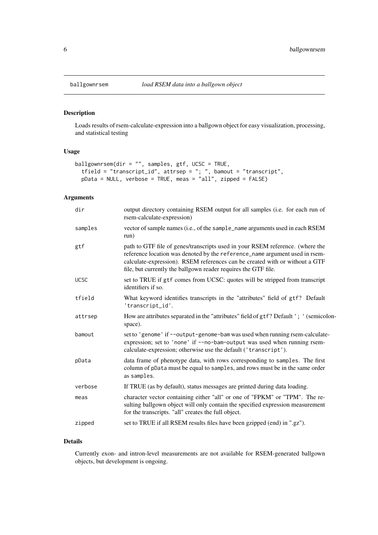Loads results of rsem-calculate-expression into a ballgown object for easy visualization, processing, and statistical testing

#### Usage

```
ballgownrsem(dir = "", samples, gtf, UCSC = TRUE,
  tfield = "transcript_id", attrsep = "; ", bamout = "transcript",
  pData = NULL, verbose = TRUE, meas = "all", zipped = FALSE)
```
#### Arguments

| dir         | output directory containing RSEM output for all samples (i.e. for each run of<br>rsem-calculate-expression)                                                                                                                                                                                                   |
|-------------|---------------------------------------------------------------------------------------------------------------------------------------------------------------------------------------------------------------------------------------------------------------------------------------------------------------|
| samples     | vector of sample names (i.e., of the sample_name arguments used in each RSEM<br>run)                                                                                                                                                                                                                          |
| gtf         | path to GTF file of genes/transcripts used in your RSEM reference. (where the<br>reference location was denoted by the reference_name argument used in rsem-<br>calculate-expression). RSEM references can be created with or without a GTF<br>file, but currently the ballgown reader requires the GTF file. |
| <b>UCSC</b> | set to TRUE if gtf comes from UCSC: quotes will be stripped from transcript<br>identifiers if so.                                                                                                                                                                                                             |
| tfield      | What keyword identifies transcripts in the "attributes" field of gtf? Default<br>'transcript_id'.                                                                                                                                                                                                             |
| attrsep     | How are attributes separated in the "attributes" field of gtf? Default '; ' (semicolon-<br>space).                                                                                                                                                                                                            |
| bamout      | set to 'genome' if --output-genome-bam was used when running rsem-calculate-<br>expression; set to 'none' if --no-bam-output was used when running rsem-<br>calculate-expression; otherwise use the default ('transcript').                                                                                   |
| pData       | data frame of phenotype data, with rows corresponding to samples. The first<br>column of pData must be equal to samples, and rows must be in the same order<br>as samples.                                                                                                                                    |
| verbose     | If TRUE (as by default), status messages are printed during data loading.                                                                                                                                                                                                                                     |
| meas        | character vector containing either "all" or one of "FPKM" or "TPM". The re-<br>sulting ballgown object will only contain the specified expression measurement<br>for the transcripts. "all" creates the full object.                                                                                          |
| zipped      | set to TRUE if all RSEM results files have been gzipped (end) in ".gz").                                                                                                                                                                                                                                      |
|             |                                                                                                                                                                                                                                                                                                               |

#### Details

Currently exon- and intron-level measurements are not available for RSEM-generated ballgown objects, but development is ongoing.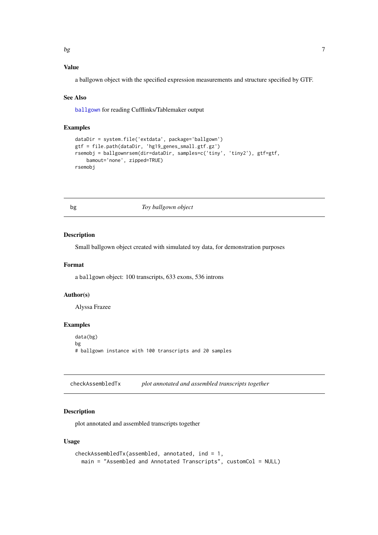<span id="page-6-0"></span> $\log$ 

#### Value

a ballgown object with the specified expression measurements and structure specified by GTF.

#### See Also

[ballgown](#page-3-1) for reading Cufflinks/Tablemaker output

#### Examples

```
dataDir = system.file('extdata', package='ballgown')
gtf = file.path(dataDir, 'hg19_genes_small.gtf.gz')
rsemobj = ballgownrsem(dir=dataDir, samples=c('tiny', 'tiny2'), gtf=gtf,
    bamout='none', zipped=TRUE)
rsemobj
```
bg *Toy ballgown object*

#### Description

Small ballgown object created with simulated toy data, for demonstration purposes

#### Format

a ballgown object: 100 transcripts, 633 exons, 536 introns

#### Author(s)

Alyssa Frazee

#### Examples

data(bg) bg # ballgown instance with 100 transcripts and 20 samples

checkAssembledTx *plot annotated and assembled transcripts together*

#### Description

plot annotated and assembled transcripts together

#### Usage

```
checkAssembledTx(assembled, annotated, ind = 1,
 main = "Assembled and Annotated Transcripts", customCol = NULL)
```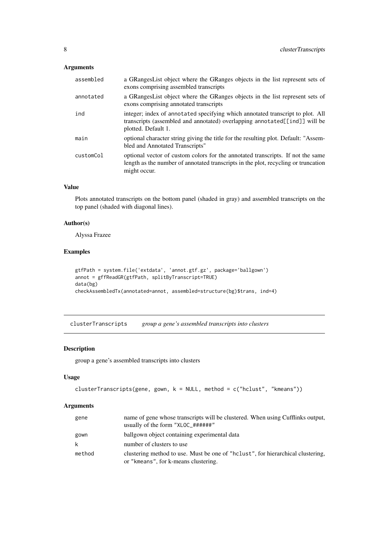#### <span id="page-7-0"></span>Arguments

| assembled | a GRangesList object where the GRanges objects in the list represent sets of<br>exons comprising assembled transcripts                                                                |
|-----------|---------------------------------------------------------------------------------------------------------------------------------------------------------------------------------------|
| annotated | a GRangesList object where the GRanges objects in the list represent sets of<br>exons comprising annotated transcripts                                                                |
| ind       | integer; index of annotated specifying which annotated transcript to plot. All<br>transcripts (assembled and annotated) overlapping annotated [[ind]] will be<br>plotted. Default 1.  |
| main      | optional character string giving the title for the resulting plot. Default: "Assem-<br>bled and Annotated Transcripts"                                                                |
| customCol | optional vector of custom colors for the annotated transcripts. If not the same<br>length as the number of annotated transcripts in the plot, recycling or truncation<br>might occur. |

#### Value

Plots annotated transcripts on the bottom panel (shaded in gray) and assembled transcripts on the top panel (shaded with diagonal lines).

#### Author(s)

Alyssa Frazee

#### Examples

```
gtfPath = system.file('extdata', 'annot.gtf.gz', package='ballgown')
annot = gffReadGR(gtfPath, splitByTranscript=TRUE)
data(bg)
checkAssembledTx(annotated=annot, assembled=structure(bg)$trans, ind=4)
```
<span id="page-7-1"></span>clusterTranscripts *group a gene's assembled transcripts into clusters*

#### Description

group a gene's assembled transcripts into clusters

#### Usage

```
clusterTranscripts(gene, gown, k = NULL, method = c("hclust", "kmeans"))
```
#### Arguments

| gene   | name of gene whose transcripts will be clustered. When using Cufflinks output,<br>usually of the form "XLOC_#######"     |
|--------|--------------------------------------------------------------------------------------------------------------------------|
| gown   | ballgown object containing experimental data                                                                             |
| k      | number of clusters to use                                                                                                |
| method | clustering method to use. Must be one of "holiest", for hierarchical clustering,<br>or "kmeans", for k-means clustering. |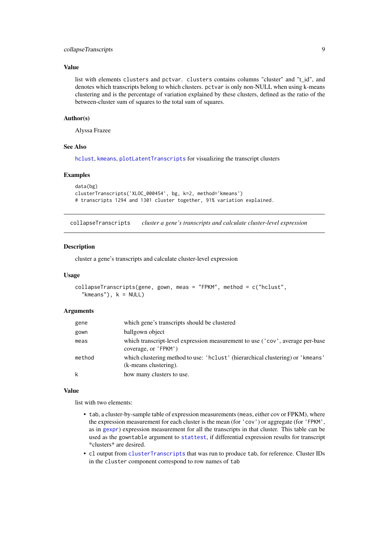#### <span id="page-8-0"></span>collapseTranscripts 9

#### Value

list with elements clusters and pctvar. clusters contains columns "cluster" and "t\_id", and denotes which transcripts belong to which clusters. pctvar is only non-NULL when using k-means clustering and is the percentage of variation explained by these clusters, defined as the ratio of the between-cluster sum of squares to the total sum of squares.

#### Author(s)

Alyssa Frazee

#### See Also

[hclust](#page-0-0), [kmeans](#page-0-0), [plotLatentTranscripts](#page-23-1) for visualizing the transcript clusters

#### Examples

```
data(bg)
clusterTranscripts('XLOC_000454', bg, k=2, method='kmeans')
# transcripts 1294 and 1301 cluster together, 91% variation explained.
```
collapseTranscripts *cluster a gene's transcripts and calculate cluster-level expression*

#### Description

cluster a gene's transcripts and calculate cluster-level expression

#### Usage

```
collapseTranscripts(gene, gown, meas = "FPKM", method = c("hclust",
  "kmeans"), k = NULL
```
#### Arguments

| gene   | which gene's transcripts should be clustered                                                            |
|--------|---------------------------------------------------------------------------------------------------------|
| gown   | ballgown object                                                                                         |
| meas   | which transcript-level expression measurement to use ('cov', average per-base<br>coverage, or 'FPKM')   |
| method | which clustering method to use: 'hclust' (hierarchical clustering) or 'kmeans'<br>(k-means clustering). |
| k      | how many clusters to use.                                                                               |

#### Value

list with two elements:

- tab, a cluster-by-sample table of expression measurements (meas, either cov or FPKM), where the expression measurement for each cluster is the mean (for 'cov') or aggregate (for 'FPKM', as in [gexpr](#page-16-1)) expression measurement for all the transcripts in that cluster. This table can be used as the gowntable argument to [stattest](#page-28-1), if differential expression results for transcript \*clusters\* are desired.
- cl output from [clusterTranscripts](#page-7-1) that was run to produce tab, for reference. Cluster IDs in the cluster component correspond to row names of tab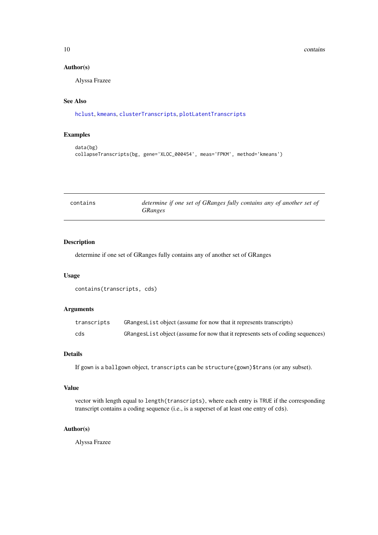<span id="page-9-0"></span>10 contains

#### Author(s)

Alyssa Frazee

#### See Also

[hclust](#page-0-0), [kmeans](#page-0-0), [clusterTranscripts](#page-7-1), [plotLatentTranscripts](#page-23-1)

#### Examples

```
data(bg)
collapseTranscripts(bg, gene='XLOC_000454', meas='FPKM', method='kmeans')
```

| contains | determine if one set of GRanges fully contains any of another set of |
|----------|----------------------------------------------------------------------|
|          | <i>GRanges</i>                                                       |

#### Description

determine if one set of GRanges fully contains any of another set of GRanges

#### Usage

```
contains(transcripts, cds)
```
#### Arguments

| transcripts | GRangesList object (assume for now that it represents transcripts)              |
|-------------|---------------------------------------------------------------------------------|
| cds         | GRangesList object (assume for now that it represents sets of coding sequences) |

#### Details

If gown is a ballgown object, transcripts can be structure(gown)\$trans (or any subset).

#### Value

vector with length equal to length(transcripts), where each entry is TRUE if the corresponding transcript contains a coding sequence (i.e., is a superset of at least one entry of cds).

#### Author(s)

Alyssa Frazee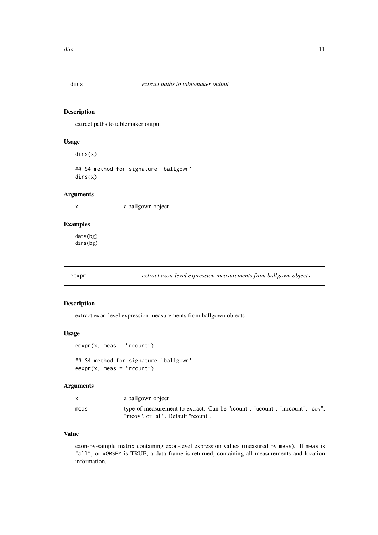<span id="page-10-0"></span>

extract paths to tablemaker output

#### Usage

dirs(x)

## S4 method for signature 'ballgown' dirs(x)

#### Arguments

x a ballgown object

#### Examples

data(bg) dirs(bg)

<span id="page-10-1"></span>eexpr *extract exon-level expression measurements from ballgown objects*

#### Description

extract exon-level expression measurements from ballgown objects

#### Usage

```
eexpr(x, meas = "rcount")
```
## S4 method for signature 'ballgown'  $eexpr(x, meas = "rcount")$ 

#### Arguments

| $\mathsf{X}$ | a ballgown object                                                                                                 |
|--------------|-------------------------------------------------------------------------------------------------------------------|
| meas         | type of measurement to extract. Can be "rount", "ucount", "mrount", "cov",<br>"mcov", or "all". Default "rcount". |

#### Value

exon-by-sample matrix containing exon-level expression values (measured by meas). If meas is "all", or x@RSEM is TRUE, a data frame is returned, containing all measurements and location information.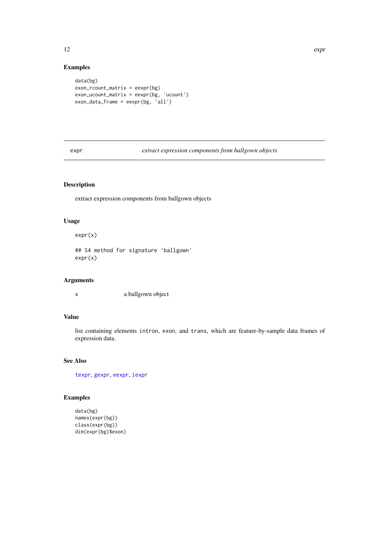#### <span id="page-11-0"></span>Examples

```
data(bg)
exon_rcount_matrix = eexpr(bg)
exon_ucount_matrix = eexpr(bg, 'ucount')
exon_data_frame = eexpr(bg, 'all')
```
expr *extract expression components from ballgown objects*

#### Description

extract expression components from ballgown objects

#### Usage

expr(x)

## S4 method for signature 'ballgown' expr(x)

#### Arguments

x a ballgown object

#### Value

list containing elements intron, exon, and trans, which are feature-by-sample data frames of expression data.

#### See Also

[texpr](#page-33-1), [gexpr](#page-16-1), [eexpr](#page-10-1), [iexpr](#page-19-1)

```
data(bg)
names(expr(bg))
class(expr(bg))
dim(expr(bg)$exon)
```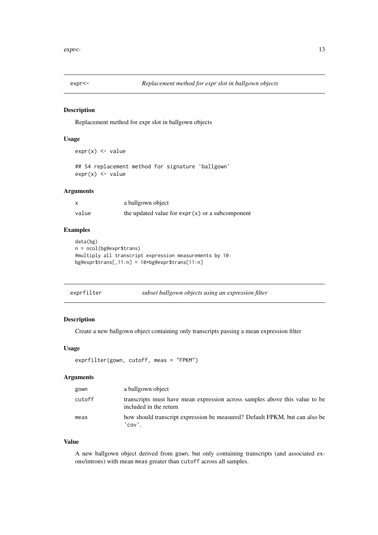<span id="page-12-0"></span>

Replacement method for expr slot in ballgown objects

#### Usage

```
expr(x) \leq value
```
## S4 replacement method for signature 'ballgown'  $expr(x) \leq value$ 

#### Arguments

|       | a ballgown object                                 |
|-------|---------------------------------------------------|
| value | the updated value for $expr(x)$ or a subcomponent |

#### Examples

```
data(bg)
n = ncol(bg@expr$trans)#multiply all transcript expression measurements by 10:
bg@expr$trans[,11:n] = 10*bg@expr$trans[11:n]
```
#### Description

Create a new ballgown object containing only transcripts passing a mean expression filter

#### Usage

```
exprfilter(gown, cutoff, meas = "FPKM")
```
#### Arguments

| gown   | a ballgown object                                                                                     |
|--------|-------------------------------------------------------------------------------------------------------|
| cutoff | transcripts must have mean expression across samples above this value to be<br>included in the return |
| meas   | how should transcript expression be measured? Default FPKM, but can also be<br>' cov ' .              |

#### Value

A new ballgown object derived from gown, but only containing transcripts (and associated exons/introns) with mean meas greater than cutoff across all samples.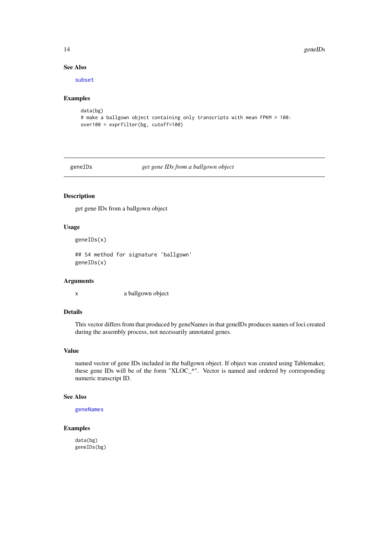14 geneIDs

#### See Also

[subset](#page-32-1)

#### Examples

```
data(bg)
# make a ballgown object containing only transcripts with mean FPKM > 100:
over100 = exprfilter(bg, cutoff=100)
```
<span id="page-13-1"></span>geneIDs *get gene IDs from a ballgown object*

#### Description

get gene IDs from a ballgown object

#### Usage

```
geneIDs(x)
```
## S4 method for signature 'ballgown' geneIDs(x)

#### Arguments

x a ballgown object

#### Details

This vector differs from that produced by geneNames in that geneIDs produces names of loci created during the assembly process, not necessarily annotated genes.

#### Value

named vector of gene IDs included in the ballgown object. If object was created using Tablemaker, these gene IDs will be of the form "XLOC\_\*". Vector is named and ordered by corresponding numeric transcript ID.

#### See Also

[geneNames](#page-14-1)

#### Examples

data(bg) geneIDs(bg)

<span id="page-13-0"></span>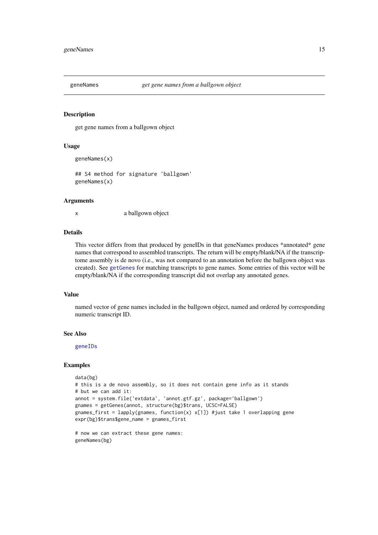<span id="page-14-1"></span><span id="page-14-0"></span>

get gene names from a ballgown object

#### Usage

```
geneNames(x)
```
## S4 method for signature 'ballgown' geneNames(x)

#### Arguments

x a ballgown object

#### Details

This vector differs from that produced by geneIDs in that geneNames produces \*annotated\* gene names that correspond to assembled transcripts. The return will be empty/blank/NA if the transcriptome assembly is de novo (i.e., was not compared to an annotation before the ballgown object was created). See [getGenes](#page-15-1) for matching transcripts to gene names. Some entries of this vector will be empty/blank/NA if the corresponding transcript did not overlap any annotated genes.

#### Value

named vector of gene names included in the ballgown object, named and ordered by corresponding numeric transcript ID.

#### See Also

[geneIDs](#page-13-1)

```
data(bg)
# this is a de novo assembly, so it does not contain gene info as it stands
# but we can add it:
annot = system.file('extdata', 'annot.gtf.gz', package='ballgown')
gnames = getGenes(annot, structure(bg)$trans, UCSC=FALSE)
gnames_first = lapply(gnames, function(x) x[1]) #just take 1 overlapping gene
expr(bg)$trans$gene_name = gnames_first
```

```
# now we can extract these gene names:
geneNames(bg)
```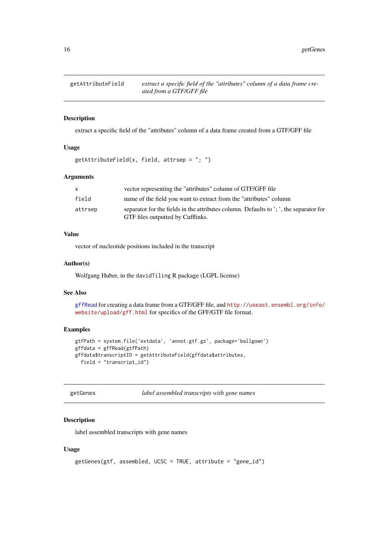<span id="page-15-2"></span><span id="page-15-0"></span>

extract a specific field of the "attributes" column of a data frame created from a GTF/GFF file

#### Usage

 $getAttributeField(x, field, attrsep = "; ")$ 

#### Arguments

|         | vector representing the "attributes" column of GTF/GFF file                                                                 |
|---------|-----------------------------------------------------------------------------------------------------------------------------|
| field   | name of the field you want to extract from the "attributes" column                                                          |
| attrsep | separator for the fields in the attributes column. Defaults to '; ', the separator for<br>GTF files outputted by Cufflinks. |

#### Value

vector of nucleotide positions included in the transcript

#### Author(s)

Wolfgang Huber, in the davidTiling R package (LGPL license)

#### See Also

[gffRead](#page-17-1) for creating a data frame from a GTF/GFF file, and [http://useast.ensembl.org/info/](http://useast.ensembl.org/info/website/upload/gff.html) [website/upload/gff.html](http://useast.ensembl.org/info/website/upload/gff.html) for specifics of the GFF/GTF file format.

#### Examples

```
gtfPath = system.file('extdata', 'annot.gtf.gz', package='ballgown')
gffdata = gffRead(gtfPath)
gffdata$transcriptID = getAttributeField(gffdata$attributes,
  field = "transcript_id")
```
<span id="page-15-1"></span>getGenes *label assembled transcripts with gene names*

#### Description

label assembled transcripts with gene names

#### Usage

```
getGenes(gtf, assembled, UCSC = TRUE, attribute = "gene_id")
```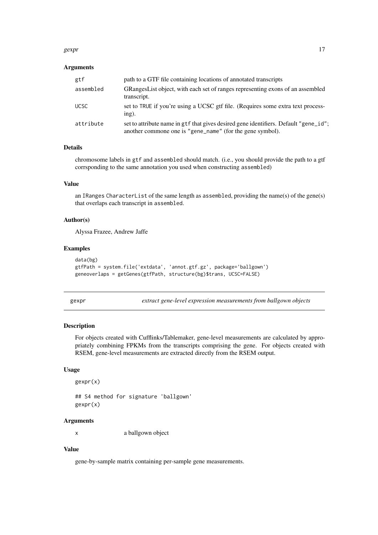#### <span id="page-16-0"></span>gexpr and the set of the set of the set of the set of the set of the set of the set of the set of the set of the set of the set of the set of the set of the set of the set of the set of the set of the set of the set of the

#### Arguments

| gtf         | path to a GTF file containing locations of annotated transcripts                                                                                  |
|-------------|---------------------------------------------------------------------------------------------------------------------------------------------------|
| assembled   | GRangesList object, with each set of ranges representing exons of an assembled<br>transcript.                                                     |
| <b>UCSC</b> | set to TRUE if you're using a UCSC gtf file. (Requires some extra text process-<br>$ing)$ .                                                       |
| attribute   | set to attribute name in gtf that gives desired gene identifiers. Default "gene_id";<br>another commone one is "gene_name" (for the gene symbol). |

#### Details

chromosome labels in gtf and assembled should match. (i.e., you should provide the path to a gtf corrsponding to the same annotation you used when constructing assembled)

#### Value

an IRanges CharacterList of the same length as assembled, providing the name(s) of the gene(s) that overlaps each transcript in assembled.

#### Author(s)

Alyssa Frazee, Andrew Jaffe

#### Examples

```
data(bg)
gtfPath = system.file('extdata', 'annot.gtf.gz', package='ballgown')
geneoverlaps = getGenes(gtfPath, structure(bg)$trans, UCSC=FALSE)
```
<span id="page-16-1"></span>

gexpr *extract gene-level expression measurements from ballgown objects*

#### Description

For objects created with Cufflinks/Tablemaker, gene-level measurements are calculated by appropriately combining FPKMs from the transcripts comprising the gene. For objects created with RSEM, gene-level measurements are extracted directly from the RSEM output.

#### Usage

```
gexpr(x)
## S4 method for signature 'ballgown'
gexpr(x)
```
#### Arguments

x a ballgown object

#### Value

gene-by-sample matrix containing per-sample gene measurements.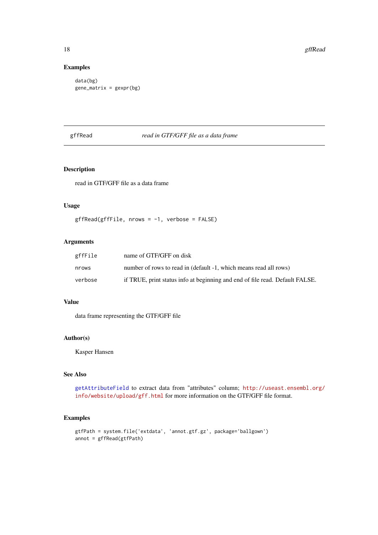#### Examples

```
data(bg)
gene_matrix = gexpr(bg)
```
#### <span id="page-17-1"></span>gffRead *read in GTF/GFF file as a data frame*

#### Description

read in GTF/GFF file as a data frame

#### Usage

```
gffRead(gffFile, nrows = -1, verbose = FALSE)
```
#### Arguments

| gffFile | name of GTF/GFF on disk                                                      |
|---------|------------------------------------------------------------------------------|
| nrows   | number of rows to read in (default -1, which means read all rows)            |
| verbose | if TRUE, print status info at beginning and end of file read. Default FALSE. |

#### Value

data frame representing the GTF/GFF file

#### Author(s)

Kasper Hansen

#### See Also

[getAttributeField](#page-15-2) to extract data from "attributes" column; [http://useast.ensembl.org/](http://useast.ensembl.org/info/website/upload/gff.html) [info/website/upload/gff.html](http://useast.ensembl.org/info/website/upload/gff.html) for more information on the GTF/GFF file format.

```
gtfPath = system.file('extdata', 'annot.gtf.gz', package='ballgown')
annot = gffRead(gtfPath)
```
<span id="page-17-0"></span>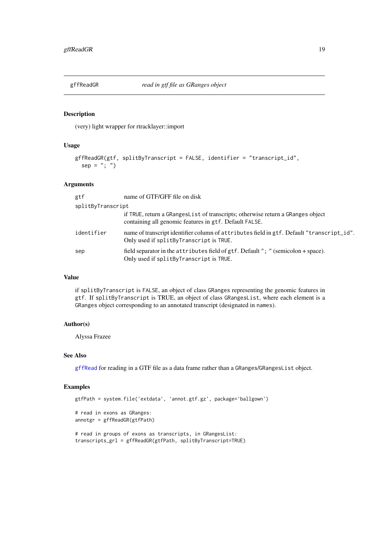<span id="page-18-1"></span><span id="page-18-0"></span>

(very) light wrapper for rtracklayer::import

#### Usage

```
gffReadGR(gtf, splitByTranscript = FALSE, identifier = "transcript_id",
  sep = "; "')
```
#### Arguments

| gtf               | name of GTF/GFF file on disk                                                                                                               |
|-------------------|--------------------------------------------------------------------------------------------------------------------------------------------|
| splitByTranscript |                                                                                                                                            |
|                   | if TRUE, return a GRanges List of transcripts; otherwise return a GRanges object<br>containing all genomic features in gtf. Default FALSE. |
| identifier        | name of transcript identifier column of attributes field in gtf. Default "transcript_id".<br>Only used if splitByTranscript is TRUE.       |
| sep               | field separator in the attributes field of gtf. Default "; " (semicolon + space).<br>Only used if splitByTranscript is TRUE.               |

#### Value

if splitByTranscript is FALSE, an object of class GRanges representing the genomic features in gtf. If splitByTranscript is TRUE, an object of class GRangesList, where each element is a GRanges object corresponding to an annotated transcript (designated in names).

#### Author(s)

Alyssa Frazee

#### See Also

[gffRead](#page-17-1) for reading in a GTF file as a data frame rather than a GRanges/GRangesList object.

```
gtfPath = system.file('extdata', 'annot.gtf.gz', package='ballgown')
# read in exons as GRanges:
annotgr = gffReadGR(gtfPath)
# read in groups of exons as transcripts, in GRangesList:
transcripts_grl = gffReadGR(gtfPath, splitByTranscript=TRUE)
```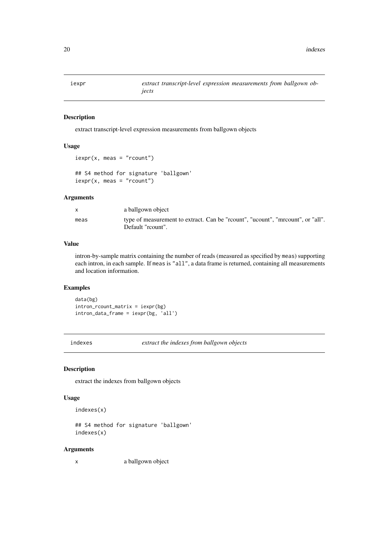<span id="page-19-1"></span><span id="page-19-0"></span>

extract transcript-level expression measurements from ballgown objects

#### Usage

```
iexpr(x, meas = "rcount")
## S4 method for signature 'ballgown'
iexpr(x, meas = "rcount")
```
#### Arguments

| $\mathsf{X}$ | a ballgown object                                                                                  |
|--------------|----------------------------------------------------------------------------------------------------|
| meas         | type of measurement to extract. Can be "rount", "ucount", "mrount", or "all".<br>Default "reount". |

#### Value

intron-by-sample matrix containing the number of reads (measured as specified by meas) supporting each intron, in each sample. If meas is "all", a data frame is returned, containing all measurements and location information.

#### Examples

data(bg) intron\_rcount\_matrix = iexpr(bg) intron\_data\_frame = iexpr(bg, 'all')

indexes *extract the indexes from ballgown objects*

#### Description

extract the indexes from ballgown objects

#### Usage

```
indexes(x)
```

```
## S4 method for signature 'ballgown'
indexes(x)
```
#### Arguments

x a ballgown object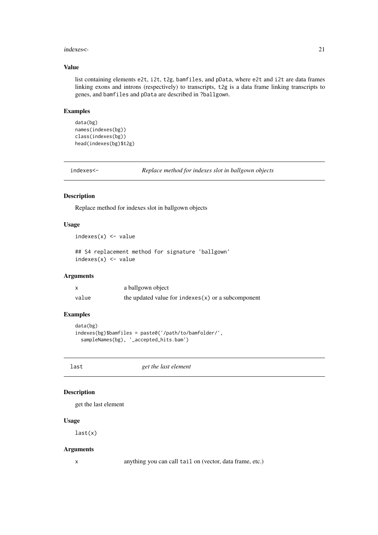#### <span id="page-20-0"></span>indexes<- 21

#### Value

list containing elements e2t, i2t, t2g, bamfiles, and pData, where e2t and i2t are data frames linking exons and introns (respectively) to transcripts, t2g is a data frame linking transcripts to genes, and bamfiles and pData are described in ?ballgown.

#### Examples

```
data(bg)
names(indexes(bg))
class(indexes(bg))
head(indexes(bg)$t2g)
```
indexes<- *Replace method for indexes slot in ballgown objects*

#### Description

Replace method for indexes slot in ballgown objects

#### Usage

```
indexes(x) < - value
```
## S4 replacement method for signature 'ballgown'  $indexes(x) < - value$ 

#### Arguments

|       | a ballgown object                                    |
|-------|------------------------------------------------------|
| value | the updated value for $indexes(x)$ or a subcomponent |

#### Examples

```
data(bg)
indexes(bg)$bamfiles = paste0('/path/to/bamfolder/',
  sampleNames(bg), '_accepted_hits.bam')
```
last *get the last element*

#### Description

get the last element

#### Usage

last(x)

#### Arguments

x anything you can call tail on (vector, data frame, etc.)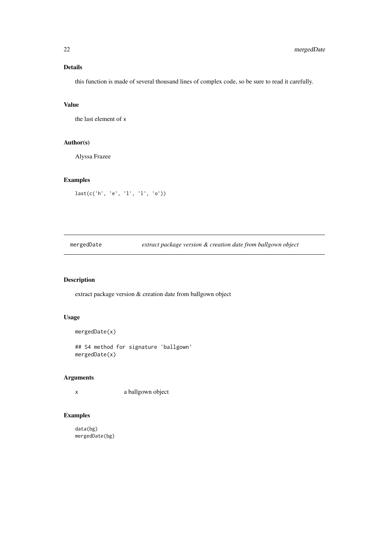#### <span id="page-21-0"></span>Details

this function is made of several thousand lines of complex code, so be sure to read it carefully.

#### Value

the last element of x

#### Author(s)

Alyssa Frazee

#### Examples

```
last(c('h', 'e', 'l', 'l', 'o'))
```
mergedDate *extract package version & creation date from ballgown object*

#### Description

extract package version & creation date from ballgown object

#### Usage

```
mergedDate(x)
```
## S4 method for signature 'ballgown' mergedDate(x)

#### Arguments

x a ballgown object

#### Examples

data(bg) mergedDate(bg)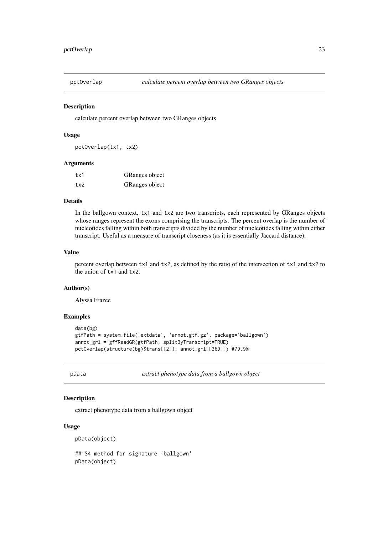<span id="page-22-0"></span>

calculate percent overlap between two GRanges objects

#### Usage

pctOverlap(tx1, tx2)

#### Arguments

| tx1 | GRanges object |
|-----|----------------|
| tx2 | GRanges object |

#### Details

In the ballgown context, tx1 and tx2 are two transcripts, each represented by GRanges objects whose ranges represent the exons comprising the transcripts. The percent overlap is the number of nucleotides falling within both transcripts divided by the number of nucleotides falling within either transcript. Useful as a measure of transcript closeness (as it is essentially Jaccard distance).

#### Value

percent overlap between tx1 and tx2, as defined by the ratio of the intersection of tx1 and tx2 to the union of tx1 and tx2.

#### Author(s)

Alyssa Frazee

#### Examples

```
data(bg)
gtfPath = system.file('extdata', 'annot.gtf.gz', package='ballgown')
annot_grl = gffReadGR(gtfPath, splitByTranscript=TRUE)
pctOverlap(structure(bg)$trans[[2]], annot_grl[[369]]) #79.9%
```
pData *extract phenotype data from a ballgown object*

#### Description

extract phenotype data from a ballgown object

#### Usage

pData(object)

## S4 method for signature 'ballgown' pData(object)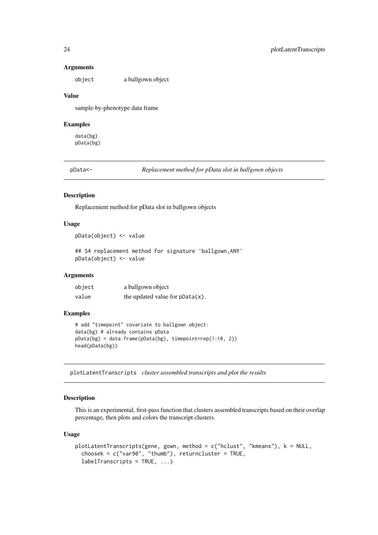#### Arguments

object a ballgown object

#### Value

sample-by-phenotype data frame

#### Examples

data(bg) pData(bg)

pData<- *Replacement method for pData slot in ballgown objects*

#### Description

Replacement method for pData slot in ballgown objects

#### Usage

```
pData(object) <- value
```
## S4 replacement method for signature 'ballgown, ANY' pData(object) <- value

#### Arguments

| object | a ballgown object                  |
|--------|------------------------------------|
| value  | the updated value for $pData(x)$ . |

#### Examples

```
# add "timepoint" covariate to ballgown object:
data(bg) # already contains pData
pData(bg) = data.frame(pData(bg), timepoint=rep(1:10, 2))
head(pData(bg))
```
<span id="page-23-1"></span>plotLatentTranscripts *cluster assembled transcripts and plot the results*

#### Description

This is an experimental, first-pass function that clusters assembled transcripts based on their overlap percentage, then plots and colors the transcript clusters.

#### Usage

```
plotLatentTranscripts(gene, gown, method = c("hclust", "kmeans"), k = NULL,
  choosek = c("var90", "thumb"), returncluster = TRUE,labelTranscripts = TRUE, ...)
```
<span id="page-23-0"></span>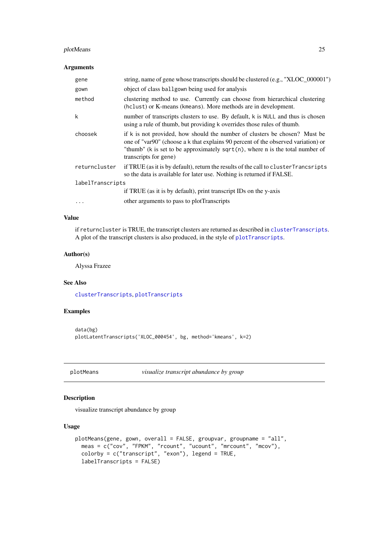#### <span id="page-24-0"></span>plotMeans 25

#### Arguments

| gene             | string, name of gene whose transcripts should be clustered (e.g., "XLOC_000001")                                                                                                                                                                                              |  |
|------------------|-------------------------------------------------------------------------------------------------------------------------------------------------------------------------------------------------------------------------------------------------------------------------------|--|
| gown             | object of class ballgown being used for analysis                                                                                                                                                                                                                              |  |
| method           | clustering method to use. Currently can choose from hierarchical clustering<br>(hclust) or K-means (kmeans). More methods are in development.                                                                                                                                 |  |
| k                | number of transcripts clusters to use. By default, k is NULL and thus is chosen<br>using a rule of thumb, but providing k overrides those rules of thumb.                                                                                                                     |  |
| choosek          | if k is not provided, how should the number of clusters be chosen? Must be<br>one of "var90" (choose a k that explains 90 percent of the observed variation) or<br>"thumb" (k is set to be approximately sqrt $(n)$ , where n is the total number of<br>transcripts for gene) |  |
| returncluster    | if TRUE (as it is by default), return the results of the call to cluster Trancsripts<br>so the data is available for later use. Nothing is returned if FALSE.                                                                                                                 |  |
| labelTranscripts |                                                                                                                                                                                                                                                                               |  |
|                  | if TRUE (as it is by default), print transcript IDs on the y-axis                                                                                                                                                                                                             |  |
| $\cdots$         | other arguments to pass to plotTranscripts                                                                                                                                                                                                                                    |  |

#### Value

if returncluster is TRUE, the transcript clusters are returned as described in [clusterTranscripts](#page-7-1). A plot of the transcript clusters is also produced, in the style of [plotTranscripts](#page-26-1).

#### Author(s)

Alyssa Frazee

#### See Also

[clusterTranscripts](#page-7-1), [plotTranscripts](#page-26-1)

#### Examples

```
data(bg)
plotLatentTranscripts('XLOC_000454', bg, method='kmeans', k=2)
```
<span id="page-24-1"></span>plotMeans *visualize transcript abundance by group*

#### Description

visualize transcript abundance by group

#### Usage

```
plotMeans(gene, gown, overall = FALSE, groupvar, groupname = "all",
 meas = c("cov", "FPKM", "rcount", "ucount", "mrcount", "mcov"),
 colorby = c("transcript", "exon"), legend = TRUE,
 labelTranscripts = FALSE)
```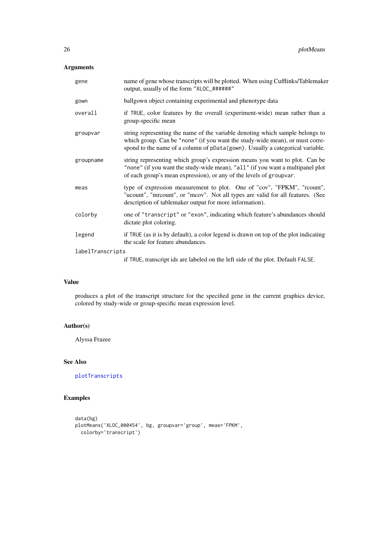#### <span id="page-25-0"></span>Arguments

| gene             | name of gene whose transcripts will be plotted. When using Cufflinks/Tablemaker<br>output, usually of the form "XLOC_######"                                                                                                                   |  |
|------------------|------------------------------------------------------------------------------------------------------------------------------------------------------------------------------------------------------------------------------------------------|--|
| gown             | ballgown object containing experimental and phenotype data                                                                                                                                                                                     |  |
| overall          | if TRUE, color features by the overall (experiment-wide) mean rather than a<br>group-specific mean                                                                                                                                             |  |
| groupvar         | string representing the name of the variable denoting which sample belongs to<br>which group. Can be "none" (if you want the study-wide mean), or must corre-<br>spond to the name of a column of pData(gown). Usually a categorical variable. |  |
| groupname        | string representing which group's expression means you want to plot. Can be<br>"none" (if you want the study-wide mean), "all" (if you want a multipanel plot<br>of each group's mean expression), or any of the levels of groupvar.           |  |
| meas             | type of expression measurement to plot. One of "cov", "FPKM", "rcount",<br>"ucount", "mrcount", or "mcov". Not all types are valid for all features. (See<br>description of tablemaker output for more information).                           |  |
| colorby          | one of "transcript" or "exon", indicating which feature's abundances should<br>dictate plot coloring.                                                                                                                                          |  |
| legend           | if TRUE (as it is by default), a color legend is drawn on top of the plot indicating<br>the scale for feature abundances.                                                                                                                      |  |
| labelTranscripts |                                                                                                                                                                                                                                                |  |
|                  | if TRUE, transcript ids are labeled on the left side of the plot. Default FALSE.                                                                                                                                                               |  |

#### Value

produces a plot of the transcript structure for the specified gene in the current graphics device, colored by study-wide or group-specific mean expression level.

#### Author(s)

Alyssa Frazee

#### See Also

[plotTranscripts](#page-26-1)

```
data(bg)
plotMeans('XLOC_000454', bg, groupvar='group', meas='FPKM',
  colorby='transcript')
```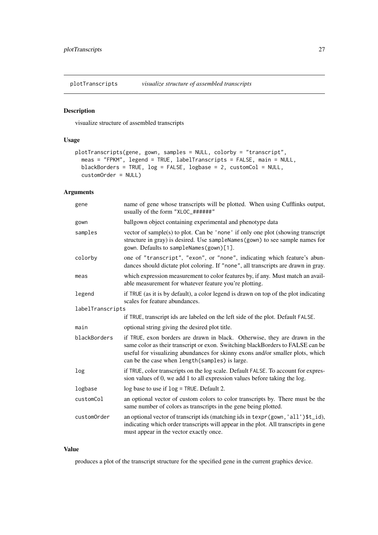<span id="page-26-1"></span><span id="page-26-0"></span>plotTranscripts *visualize structure of assembled transcripts*

#### Description

visualize structure of assembled transcripts

#### Usage

```
plotTranscripts(gene, gown, samples = NULL, colorby = "transcript",
  meas = "FPKM", legend = TRUE, labelTranscripts = FALSE, main = NULL,
  blackBorders = TRUE, log = FALSE, logbase = 2, customCol = NULL,
  customOrder = NULL)
```
#### Arguments

| gene             | name of gene whose transcripts will be plotted. When using Cufflinks output,<br>usually of the form "XLOC_######"                                                                                                                                                                                 |  |  |
|------------------|---------------------------------------------------------------------------------------------------------------------------------------------------------------------------------------------------------------------------------------------------------------------------------------------------|--|--|
| gown             | ballgown object containing experimental and phenotype data                                                                                                                                                                                                                                        |  |  |
| samples          | vector of sample(s) to plot. Can be 'none' if only one plot (showing transcript<br>structure in gray) is desired. Use sampleNames (gown) to see sample names for<br>gown. Defaults to sampleNames(gown)[1].                                                                                       |  |  |
| colorby          | one of "transcript", "exon", or "none", indicating which feature's abun-<br>dances should dictate plot coloring. If "none", all transcripts are drawn in gray.                                                                                                                                    |  |  |
| meas             | which expression measurement to color features by, if any. Must match an avail-<br>able measurement for whatever feature you're plotting.                                                                                                                                                         |  |  |
| legend           | if TRUE (as it is by default), a color legend is drawn on top of the plot indicating<br>scales for feature abundances.                                                                                                                                                                            |  |  |
| labelTranscripts |                                                                                                                                                                                                                                                                                                   |  |  |
|                  | if TRUE, transcript ids are labeled on the left side of the plot. Default FALSE.                                                                                                                                                                                                                  |  |  |
| main             | optional string giving the desired plot title.                                                                                                                                                                                                                                                    |  |  |
| blackBorders     | if TRUE, exon borders are drawn in black. Otherwise, they are drawn in the<br>same color as their transcript or exon. Switching blackBorders to FALSE can be<br>useful for visualizing abundances for skinny exons and/or smaller plots, which<br>can be the case when length (samples) is large. |  |  |
| log              | if TRUE, color transcripts on the log scale. Default FALSE. To account for expres-<br>sion values of 0, we add 1 to all expression values before taking the log.                                                                                                                                  |  |  |
| logbase          | log base to use if $log = TRUE$ . Default 2.                                                                                                                                                                                                                                                      |  |  |
| customCol        | an optional vector of custom colors to color transcripts by. There must be the<br>same number of colors as transcripts in the gene being plotted.                                                                                                                                                 |  |  |
| customOrder      | an optional vector of transcript ids (matching ids in texpr (gown, 'all')\$t_id),<br>indicating which order transcripts will appear in the plot. All transcripts in gene<br>must appear in the vector exactly once.                                                                               |  |  |

#### Value

produces a plot of the transcript structure for the specified gene in the current graphics device.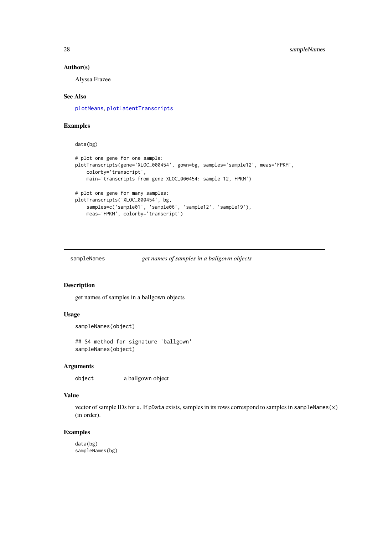#### Author(s)

Alyssa Frazee

#### See Also

[plotMeans](#page-24-1), [plotLatentTranscripts](#page-23-1)

#### Examples

data(bg)

```
# plot one gene for one sample:
plotTranscripts(gene='XLOC_000454', gown=bg, samples='sample12', meas='FPKM',
    colorby='transcript',
    main='transcripts from gene XLOC_000454: sample 12, FPKM')
# plot one gene for many samples:
plotTranscripts('XLOC_000454', bg,
   samples=c('sample01', 'sample06', 'sample12', 'sample19'),
    meas='FPKM', colorby='transcript')
```
sampleNames *get names of samples in a ballgown objects*

#### Description

get names of samples in a ballgown objects

#### Usage

```
sampleNames(object)
```
## S4 method for signature 'ballgown' sampleNames(object)

#### Arguments

object a ballgown object

#### Value

vector of sample IDs for x. If pData exists, samples in its rows correspond to samples in sampleNames(x) (in order).

#### Examples

data(bg) sampleNames(bg)

<span id="page-27-0"></span>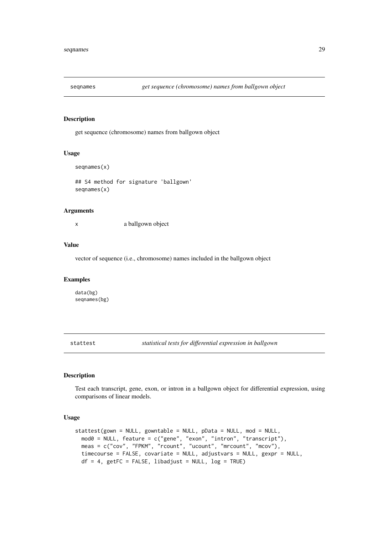<span id="page-28-0"></span>

get sequence (chromosome) names from ballgown object

#### Usage

```
seqnames(x)
```
## S4 method for signature 'ballgown' seqnames(x)

#### Arguments

x a ballgown object

#### Value

vector of sequence (i.e., chromosome) names included in the ballgown object

#### Examples

data(bg) seqnames(bg)

<span id="page-28-1"></span>stattest *statistical tests for differential expression in ballgown*

#### Description

Test each transcript, gene, exon, or intron in a ballgown object for differential expression, using comparisons of linear models.

#### Usage

```
stattest(gown = NULL, gowntable = NULL, pData = NULL, mod = NULL,
  mod0 = NULL, feature = c("gene", "exon", "intron", "transcript"),
  meas = c("cov", "FPKM", "rcount", "ucount", "mrcount", "mcov"),
 timecourse = FALSE, covariate = NULL, adjustvars = NULL, gexpr = NULL,
 df = 4, getFC = FALSE, libadjust = NULL, log = TRUE)
```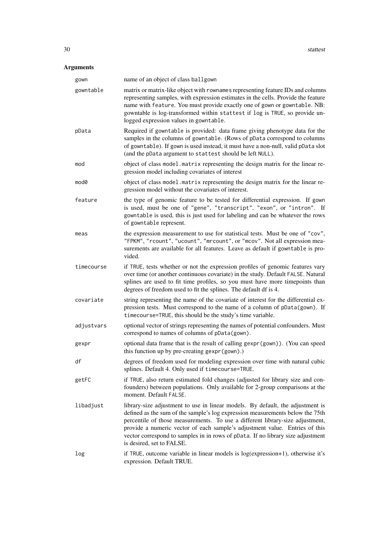### Arguments

| gown       | name of an object of class ballgown                                                                                                                                                                                                                                                                                                                                                                                                             |
|------------|-------------------------------------------------------------------------------------------------------------------------------------------------------------------------------------------------------------------------------------------------------------------------------------------------------------------------------------------------------------------------------------------------------------------------------------------------|
| gowntable  | matrix or matrix-like object with rownames representing feature IDs and columns<br>representing samples, with expression estimates in the cells. Provide the feature<br>name with feature. You must provide exactly one of gown or gowntable. NB:<br>gowntable is log-transformed within stattest if log is TRUE, so provide un-<br>logged expression values in gowntable.                                                                      |
| pData      | Required if gowntable is provided: data frame giving phenotype data for the<br>samples in the columns of gowntable. (Rows of pData correspond to columns<br>of gowntable). If gown is used instead, it must have a non-null, valid pData slot<br>(and the pData argument to stattest should be left NULL).                                                                                                                                      |
| mod        | object of class model. matrix representing the design matrix for the linear re-<br>gression model including covariates of interest                                                                                                                                                                                                                                                                                                              |
| mod0       | object of class model. matrix representing the design matrix for the linear re-<br>gression model without the covariates of interest.                                                                                                                                                                                                                                                                                                           |
| feature    | the type of genomic feature to be tested for differential expression. If gown<br>is used, must be one of "gene", "transcript", "exon", or "intron". If<br>gowntable is used, this is just used for labeling and can be whatever the rows<br>of gowntable represent.                                                                                                                                                                             |
| meas       | the expression measurement to use for statistical tests. Must be one of "cov",<br>"FPKM", "rcount", "ucount", "mrcount", or "mcov". Not all expression mea-<br>surements are available for all features. Leave as default if gowntable is pro-<br>vided.                                                                                                                                                                                        |
| timecourse | if TRUE, tests whether or not the expression profiles of genomic features vary<br>over time (or another continuous covariate) in the study. Default FALSE. Natural<br>splines are used to fit time profiles, so you must have more timepoints than<br>degrees of freedom used to fit the splines. The default df is 4.                                                                                                                          |
| covariate  | string representing the name of the covariate of interest for the differential ex-<br>pression tests. Must correspond to the name of a column of pData(gown). If<br>timecourse=TRUE, this should be the study's time variable.                                                                                                                                                                                                                  |
| adjustvars | optional vector of strings representing the names of potential confounders. Must<br>correspond to names of columns of pData(gown).                                                                                                                                                                                                                                                                                                              |
| gexpr      | optional data frame that is the result of calling gexpr (gown)). (You can speed<br>this function up by pre-creating gexpr (gown).)                                                                                                                                                                                                                                                                                                              |
| df         | degrees of freedom used for modeling expression over time with natural cubic<br>splines. Default 4. Only used if timecourse=TRUE.                                                                                                                                                                                                                                                                                                               |
| getFC      | if TRUE, also return estimated fold changes (adjusted for library size and con-<br>founders) between populations. Only available for 2-group comparisons at the<br>moment. Default FALSE.                                                                                                                                                                                                                                                       |
| libadjust  | library-size adjustment to use in linear models. By default, the adjustment is<br>defined as the sum of the sample's log expression measurements below the 75th<br>percentile of those measurements. To use a different library-size adjustment,<br>provide a numeric vector of each sample's adjustment value. Entries of this<br>vector correspond to samples in in rows of pData. If no library size adjustment<br>is desired, set to FALSE. |
| log        | if TRUE, outcome variable in linear models is log(expression+1), otherwise it's<br>expression. Default TRUE.                                                                                                                                                                                                                                                                                                                                    |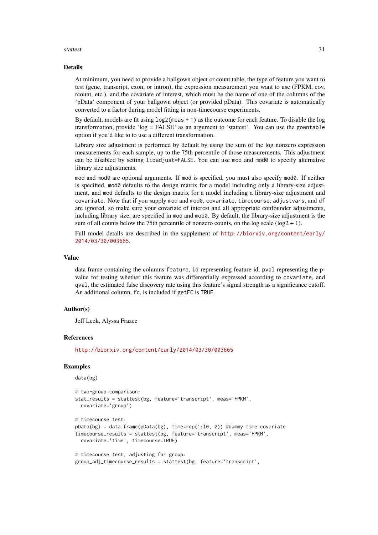#### stattest 31

#### Details

At minimum, you need to provide a ballgown object or count table, the type of feature you want to test (gene, transcript, exon, or intron), the expression measurement you want to use (FPKM, cov, rcount, etc.), and the covariate of interest, which must be the name of one of the columns of the 'pData' component of your ballgown object (or provided pData). This covariate is automatically converted to a factor during model fitting in non-timecourse experiments.

By default, models are fit using log2(meas + 1) as the outcome for each feature. To disable the log transformation, provide 'log = FALSE' as an argument to 'stattest'. You can use the gowntable option if you'd like to to use a different transformation.

Library size adjustment is performed by default by using the sum of the log nonzero expression measurements for each sample, up to the 75th percentile of those measurements. This adjustment can be disabled by setting libadjust=FALSE. You can use mod and mod0 to specify alternative library size adjustments.

mod and mod0 are optional arguments. If mod is specified, you must also specify mod0. If neither is specified, mod0 defaults to the design matrix for a model including only a library-size adjustment, and mod defaults to the design matrix for a model including a library-size adjustment and covariate. Note that if you supply mod and mod0, covariate, timecourse, adjustvars, and df are ignored, so make sure your covariate of interest and all appropriate confounder adjustments, including library size, are specified in mod and mod0. By default, the library-size adjustment is the sum of all counts below the 75th percentile of nonzero counts, on the log scale  $(\log 2 + 1)$ .

Full model details are described in the supplement of [http://biorxiv.org/content/early/](http://biorxiv.org/content/early/2014/03/30/003665) [2014/03/30/003665](http://biorxiv.org/content/early/2014/03/30/003665).

#### Value

data frame containing the columns feature, id representing feature id, pval representing the pvalue for testing whether this feature was differentially expressed according to covariate, and qval, the estimated false discovery rate using this feature's signal strength as a significance cutoff. An additional column, fc, is included if getFC is TRUE.

#### Author(s)

Jeff Leek, Alyssa Frazee

#### References

<http://biorxiv.org/content/early/2014/03/30/003665>

```
data(bg)
```

```
# two-group comparison:
stat_results = stattest(bg, feature='transcript', meas='FPKM',
  covariate='group')
# timecourse test:
pData(bg) = data.frame(pData(bg), time=rep(1:10, 2)) #dummy time covariate
timecourse_results = stattest(bg, feature='transcript', meas='FPKM',
  covariate='time', timecourse=TRUE)
# timecourse test, adjusting for group:
group_adj_timecourse_results = stattest(bg, feature='transcript',
```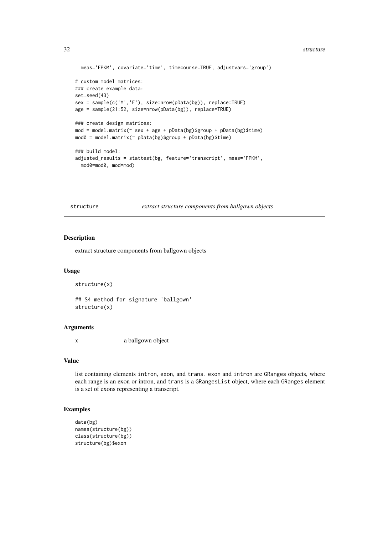#### <span id="page-31-0"></span>32 structure and the structure of the structure of the structure of the structure of the structure of the structure

```
meas='FPKM', covariate='time', timecourse=TRUE, adjustvars='group')
# custom model matrices:
### create example data:
set.seed(43)
sex = sample(c('M','F'), size=nrow(pData(bg)), replace=TRUE)
age = sample(21:52, size=nrow(pData(bg)), replace=TRUE)
### create design matrices:
mod = model_matrix(\sim sex + age + pData(bg)$group + pData(bg)$time)
mod0 = model.matrix(~pData(bg)$group + pData(bg)$time)
### build model:
adjusted_results = stattest(bg, feature='transcript', meas='FPKM',
 mod0=mod0, mod=mod)
```
structure *extract structure components from ballgown objects*

#### Description

extract structure components from ballgown objects

#### Usage

```
structure(x)
```

```
## S4 method for signature 'ballgown'
structure(x)
```
#### Arguments

x a ballgown object

#### Value

list containing elements intron, exon, and trans. exon and intron are GRanges objects, where each range is an exon or intron, and trans is a GRangesList object, where each GRanges element is a set of exons representing a transcript.

```
data(bg)
names(structure(bg))
class(structure(bg))
structure(bg)$exon
```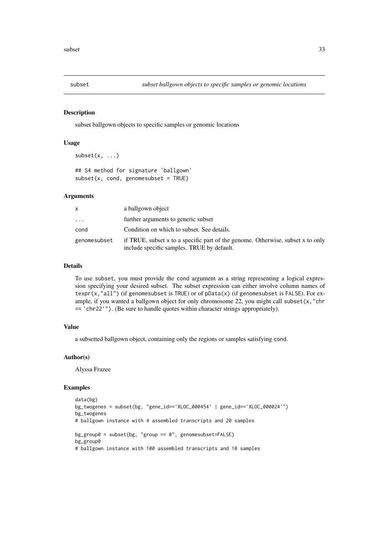<span id="page-32-1"></span><span id="page-32-0"></span>

subset ballgown objects to specific samples or genomic locations

#### Usage

```
subset(x, \ldots)
```
## S4 method for signature 'ballgown'  $subset(x, cond, genomesubset = TRUE)$ 

#### Arguments

| x                       | a ballgown object                                                                                                             |
|-------------------------|-------------------------------------------------------------------------------------------------------------------------------|
| $\cdot$ $\cdot$ $\cdot$ | further arguments to generic subset                                                                                           |
| cond                    | Condition on which to subset. See details.                                                                                    |
| genomesubset            | if TRUE, subset x to a specific part of the genome. Otherwise, subset x to only<br>include specific samples. TRUE by default. |

#### Details

To use subset, you must provide the cond argument as a string representing a logical expression specifying your desired subset. The subset expression can either involve column names of texpr(x,"all") (if genomesubset is TRUE) or of pData(x) (if genomesubset is FALSE). For example, if you wanted a ballgown object for only chromosome 22, you might call subset $(x, "chr)$  $=$  'chr22'"). (Be sure to handle quotes within character strings appropriately).

#### Value

a subsetted ballgown object, containing only the regions or samples satisfying cond.

#### Author(s)

Alyssa Frazee

```
data(bg)
bg_twogenes = subset(bg, "gene_id=='XLOC_000454' | gene_id=='XLOC_000024'")
bg_twogenes
# ballgown instance with 4 assembled transcripts and 20 samples
bg\_group0 = subset(bg, "group == 0", genomesubset=FALE)bg_group0
# ballgown instance with 100 assembled transcripts and 10 samples
```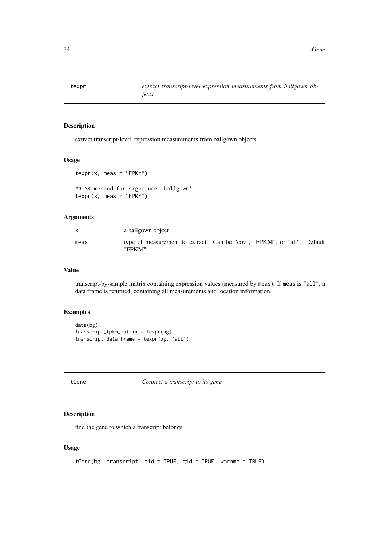<span id="page-33-1"></span><span id="page-33-0"></span>

extract transcript-level expression measurements from ballgown objects

#### Usage

```
texpr(x, meas = "FPKM")
```
## S4 method for signature 'ballgown'  $textrm{rxp}$ r(x, meas = "FPKM")

#### Arguments

| X    | a ballgown object                                                                  |  |  |
|------|------------------------------------------------------------------------------------|--|--|
| meas | type of measurement to extract. Can be "cov", "FPKM", or "all". Default<br>"FPKM". |  |  |

#### Value

transcript-by-sample matrix containing expression values (measured by meas). If meas is "all", a data frame is returned, containing all measurements and location information.

#### Examples

```
data(bg)
transcript_fpkm_matrix = texpr(bg)
transcript_data_frame = texpr(bg, 'all')
```
tGene *Connect a transcript to its gene*

#### Description

find the gene to which a transcript belongs

#### Usage

```
tGene(bg, transcript, tid = TRUE, gid = TRUE, warnme = TRUE)
```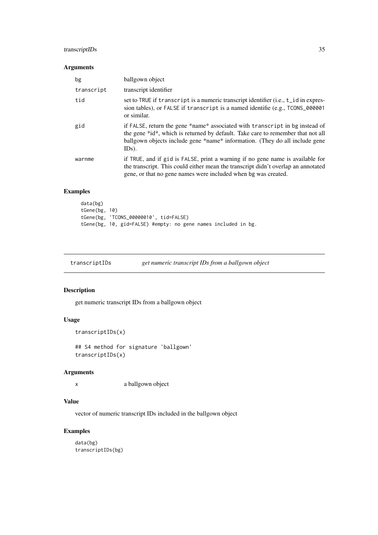#### <span id="page-34-0"></span>transcriptIDs 35

#### Arguments

| bg         | ballgown object                                                                                                                                                                                                                                            |
|------------|------------------------------------------------------------------------------------------------------------------------------------------------------------------------------------------------------------------------------------------------------------|
| transcript | transcript identifier                                                                                                                                                                                                                                      |
| tid        | set to TRUE if transcript is a numeric transcript identifier (i.e., t_id in expres-<br>sion tables), or FALSE if transcript is a named identifie (e.g., TCONS_000001<br>or similar.                                                                        |
| gid        | if FALSE, return the gene *name* associated with transcript in bg instead of<br>the gene *id*, which is returned by default. Take care to remember that not all<br>ballgown objects include gene *name* information. (They do all include gene<br>$IDs$ ). |
| warnme     | if TRUE, and if gid is FALSE, print a warning if no gene name is available for<br>the transcript. This could either mean the transcript didn't overlap an annotated<br>gene, or that no gene names were included when bg was created.                      |

#### Examples

```
data(bg)
tGene(bg, 10)
tGene(bg, 'TCONS_00000010', tid=FALSE)
tGene(bg, 10, gid=FALSE) #empty: no gene names included in bg.
```

| transcriptIDs | get numeric transcript IDs from a ballgown object |  |  |
|---------------|---------------------------------------------------|--|--|
|               |                                                   |  |  |

#### Description

get numeric transcript IDs from a ballgown object

#### Usage

```
transcriptIDs(x)
```
## S4 method for signature 'ballgown' transcriptIDs(x)

#### Arguments

x a ballgown object

#### Value

vector of numeric transcript IDs included in the ballgown object

#### Examples

data(bg) transcriptIDs(bg)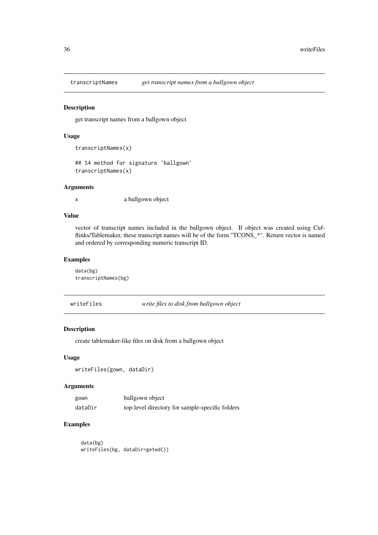<span id="page-35-0"></span>

get transcript names from a ballgown object

#### Usage

```
transcriptNames(x)
```
## S4 method for signature 'ballgown' transcriptNames(x)

#### Arguments

x a ballgown object

#### Value

vector of transcript names included in the ballgown object. If object was created using Cufflinks/Tablemaker, these transcript names will be of the form "TCONS\_\*". Return vector is named and ordered by corresponding numeric transcript ID.

#### Examples

data(bg) transcriptNames(bg)

writeFiles *write files to disk from ballgown object*

#### Description

create tablemaker-like files on disk from a ballgown object

#### Usage

```
writeFiles(gown, dataDir)
```
#### Arguments

| gown    | ballgown object                                 |
|---------|-------------------------------------------------|
| dataDir | top-level directory for sample-specific folders |

#### Examples

data(bg) writeFiles(bg, dataDir=getwd())